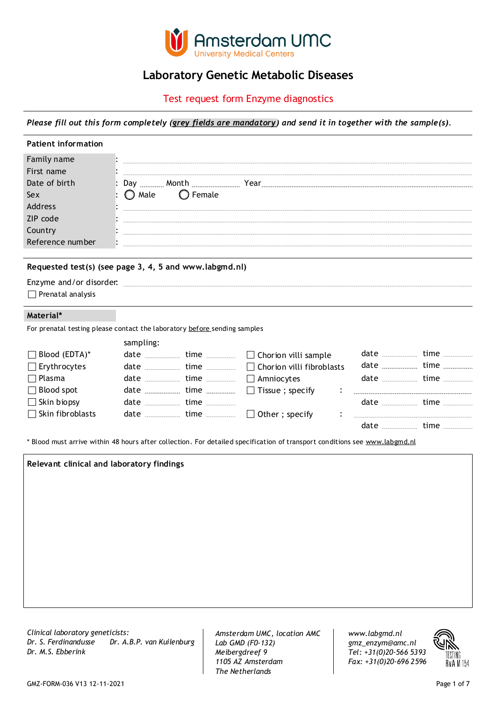

## **Laboratory Genetic Metabolic Diseases**

Test request form Enzyme diagnostics

*Please fill out this form completely (grey fields are mandatory) and send it in together with the sample(s).*

| <b>Patient information</b>                                                                              |                                                        |
|---------------------------------------------------------------------------------------------------------|--------------------------------------------------------|
| Family name<br>First name<br>Date of birth<br>Sex<br>Address<br>ZIP code<br>Country<br>Reference number | Day 31 V Month December Year 1900<br>Female<br>Male    |
| Enzyme and/or disorder.<br>$\Box$ Prenatal analysis                                                     | Requested test(s) (see page 3, 4, 5 and www.labgmd.nl) |
| Material*                                                                                               |                                                        |

For prenatal testing please contact the laboratory before sending samples

|                         | sampling:                 |                                                                                                                                                                                                                                                                                                    |                      |  |
|-------------------------|---------------------------|----------------------------------------------------------------------------------------------------------------------------------------------------------------------------------------------------------------------------------------------------------------------------------------------------|----------------------|--|
| $\Box$ Blood (EDTA)*    |                           |                                                                                                                                                                                                                                                                                                    |                      |  |
| $\Box$ Erythrocytes     |                           |                                                                                                                                                                                                                                                                                                    |                      |  |
| $\Box$ Plasma           |                           |                                                                                                                                                                                                                                                                                                    |                      |  |
| $\Box$ Blood spot       |                           |                                                                                                                                                                                                                                                                                                    |                      |  |
| $\Box$ Skin biopsy      | date <u></u> time <u></u> |                                                                                                                                                                                                                                                                                                    |                      |  |
| $\Box$ Skin fibroblasts |                           | date $\frac{1}{2}$ at $\frac{1}{2}$ at $\frac{1}{2}$ at $\frac{1}{2}$ at $\frac{1}{2}$ at $\frac{1}{2}$ at $\frac{1}{2}$ at $\frac{1}{2}$ at $\frac{1}{2}$ at $\frac{1}{2}$ at $\frac{1}{2}$ at $\frac{1}{2}$ at $\frac{1}{2}$ at $\frac{1}{2}$ at $\frac{1}{2}$ at $\frac{1}{2}$ at $\frac{1}{2}$ |                      |  |
|                         |                           |                                                                                                                                                                                                                                                                                                    | $date$ $time$ $time$ |  |
|                         |                           |                                                                                                                                                                                                                                                                                                    |                      |  |

\* Blood must arrive within 48 hours after collection. For detailed specification of transport conditions see www.labgmd.nl

# **Relevant clinical and laboratory findings**

*Clinical laboratory geneticists: Dr. S. Ferdinandusse Dr. A.B.P. van Kuilenburg Dr. M.S. Ebberink Tel: +31(0)20-566 5393*

*Amsterdam UMC, location AMC Lab GMD (F0-132) Meibergdreef 9 1105 AZ Amsterdam The Netherlands*

*gmz\_enzym@amc.nl www.labgmd.nl Fax: +31(0)20-696 2596*

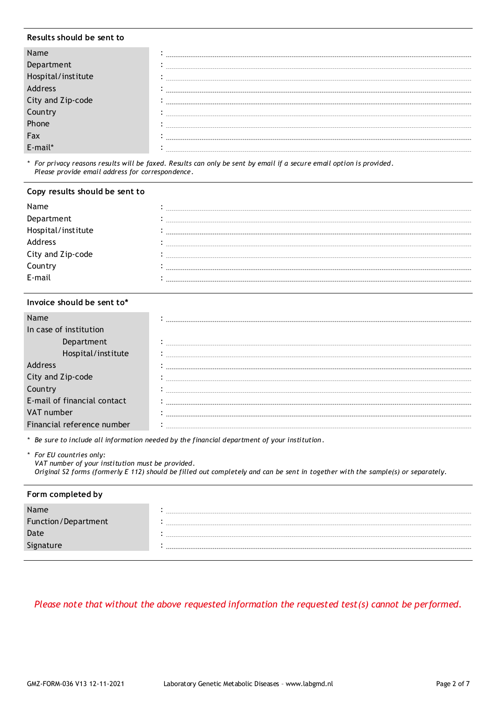### **Results should be sent to**

| Department<br>lospital/institute |  |
|----------------------------------|--|
| <b>Address</b>                   |  |
| City and Zip-code                |  |
|                                  |  |
| Lountry<br>Phone                 |  |
| Fax                              |  |
|                                  |  |

*\* For privacy reasons results will be faxed. Results can only be sent by email if a secure email option is provided. Please provide email address for correspondence.*

### **Copy results should be sent to**

| Name               |                               |
|--------------------|-------------------------------|
| Department         | --------------                |
| Hospital/institute | ----------------------------- |
| Address            |                               |
| City and Zip-code  | ----------                    |
| Country            |                               |
| F-mail             |                               |

### **Invoice should be sent to\***

| In case of institution      |  |
|-----------------------------|--|
| Department                  |  |
|                             |  |
| address                     |  |
| City and Zip-code           |  |
| Country                     |  |
| E-mail of financial contact |  |
| VAT number                  |  |
| Financial reference number  |  |

*\* Be sure to include all information needed by the financial department of your institution .*

*\* For EU countries only: VAT number of your institution must be provided. Original S2 forms (formerly E 112) should be filled out completely and can be sent in together with the sample(s) or separately.*

### **Form completed by**

| Name                |  |
|---------------------|--|
| Function/Department |  |
| Date                |  |
| Signature           |  |
|                     |  |

*Please note that without the above requested information the requested test(s) cannot be performed.*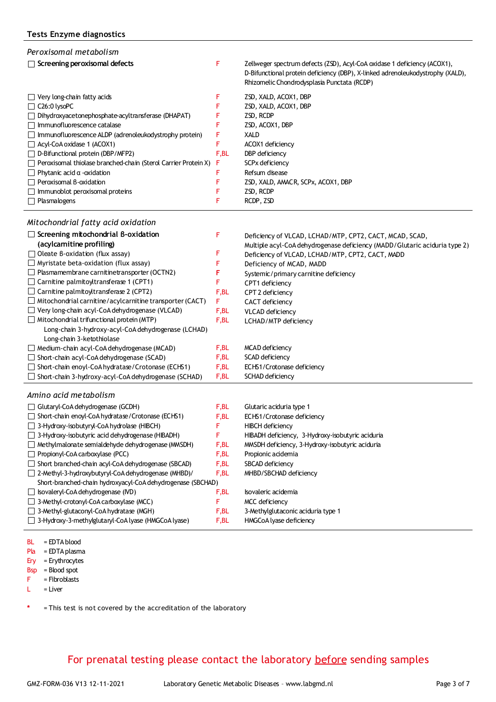| Peroxisomal metabolism                                                |      |                                                                                                                                                                                                           |
|-----------------------------------------------------------------------|------|-----------------------------------------------------------------------------------------------------------------------------------------------------------------------------------------------------------|
| $\Box$ Screening peroxisomal defects                                  | F    | Zellweger spectrum defects (ZSD), Acyl-CoA oxidase 1 deficiency (ACOX1),<br>D-Bifunctional protein deficiency (DBP), X-linked adrenoleukodystrophy (XALD),<br>Rhizomelic Chondrodysplasia Punctata (RCDP) |
| $\Box$ Very long-chain fatty acids                                    |      | ZSD, XALD, ACOX1, DBP                                                                                                                                                                                     |
| $\Box$ C26:0 lysoPC                                                   |      | ZSD, XALD, ACOX1, DBP                                                                                                                                                                                     |
| $\Box$ Dihydroxyacetonephosphate-acyltransferase (DHAPAT)             |      | ZSD, RCDP                                                                                                                                                                                                 |
| Immunofluorescence catalase                                           |      | ZSD, ACOX1, DBP                                                                                                                                                                                           |
| $\Box$ Immunofluorescence ALDP (adrenoleukodystrophy protein)         | F    | XALD                                                                                                                                                                                                      |
| $\Box$ Acyl-CoA oxidase 1 (ACOX1)                                     | F    | ACOX1 deficiency                                                                                                                                                                                          |
| $\Box$ D-Bifunctional protein (DBP/MFP2)                              | F,BL | DBP deficiency                                                                                                                                                                                            |
| $\Box$ Peroxisomal thiolase branched-chain (Sterol Carrier Protein X) | F    | SCPx deficiency                                                                                                                                                                                           |
| Phytanic acid $\alpha$ -oxidation                                     | F    | Refsum disease                                                                                                                                                                                            |
| $\Box$ Peroxisomal B-oxidation                                        |      | ZSD, XALD, AMACR, SCPx, ACOX1, DBP                                                                                                                                                                        |
| $\Box$ Immunoblot peroxisomal proteins                                |      | ZSD, RCDP                                                                                                                                                                                                 |
| $\Box$ Plasmalogens                                                   | F    | RCDP, ZSD                                                                                                                                                                                                 |
|                                                                       |      |                                                                                                                                                                                                           |

### *Mitochondrial fatty acid oxidation*

| Screening mitochondrial B-oxidation                             | F     | Deficiency of VLCAD, LCHAD/MTP, CPT2, CACT, MCAD, SCAD,                    |
|-----------------------------------------------------------------|-------|----------------------------------------------------------------------------|
| (acylcamitine profiling)                                        |       | Multiple acyl-CoA dehydrogenase deficiency (MADD/Glutaric aciduria type 2) |
| Oleate B-oxidation (flux assay)                                 |       | Deficiency of VLCAD, LCHAD/MTP, CPT2, CACT, MADD                           |
| $\Box$ Myristate beta-oxidation (flux assay)                    |       | Deficiency of MCAD, MADD                                                   |
| $\Box$ Plasmamembrane carnitinetransporter (OCTN2)              | F     | Systemic/primary carnitine deficiency                                      |
| $\Box$ Carnitine palmitoy transferase 1 (CPT1)                  |       | CPT1 deficiency                                                            |
| $\Box$ Carnitine palmitoy transferase 2 (CPT2)                  | F,BL  | CPT 2 deficiency                                                           |
| $\Box$ Mitochondrial carnitine/acylcarnitine transporter (CACT) | F     | CACT deficiency                                                            |
| $\Box$ Very long-chain acyl-CoA dehydrogenase (VLCAD)           | F,BL  | <b>VLCAD</b> deficiency                                                    |
| Mitochondrial trifunctional protein (MTP)                       | F,BL  | LCHAD/MTP deficiency                                                       |
| Long-chain 3-hydroxy-acyl-CoA dehydrogenase (LCHAD)             |       |                                                                            |
| Long-chain 3-ketothiolase                                       |       |                                                                            |
| $\Box$ Medium-chain acyl-CoA dehydrogenase (MCAD)               | F, BL | MCAD deficiency                                                            |
| $\Box$ Short-chain acyl-CoA dehydrogenase (SCAD)                | F,BL  | SCAD deficiency                                                            |
| $\Box$ Short-chain enoyl-CoA hydratase/Crotonase (ECHS1)        | F,BL  | ECHS1/Crotonase deficiency                                                 |
| $\Box$ Short-chain 3-hydroxy-acyl-CoA dehydrogenase (SCHAD)     | F,BL  | SCHAD deficiency                                                           |
| Amino acid metabolism                                           |       |                                                                            |
| $\Box$ Glutaryl-CoA dehydrogenase (GCDH)                        | F,BL  | Glutaric aciduria type 1                                                   |
| Short-chain enoyl-CoA hydratase/Crotonase (ECHS1)               | F,BL  | ECHS1/Crotonase deficiency                                                 |
| 3-Hydroxy-isobutyryl-CoA hydrolase (HIBCH)                      |       | <b>HIBCH</b> deficiency                                                    |
| 3-Hydroxy-isobutyric acid dehydrogenase (HIBADH)                |       | HIBADH deficiency, 3-Hydroxy-isobutyric aciduria                           |

|      | <b>There I</b> Tachcicles, original and isolation actual ta |
|------|-------------------------------------------------------------|
| F,BL | MMSDH deficiency, 3-Hydroxy-isobutyric aciduria             |

Propionic acidemia F,BL

- SBCAD deficiency F,BL
	- MHBD/SBCHAD deficiency
- Short-branched-chain hydroxyacyl-CoA dehydrogenase (SBCHAD) 2-Methyl-3-hydroxybutyryl-CoA dehydrogenase (MHBD)/  $\Box$  Isovaleryl-CoA dehydrogenase (IVD) 3-Methyl-crotonyl-CoA carboxylase (MCC) 3-Methyl-glutaconyl-CoA hydratase (MGH) 3-Hydroxy-3-methylglutaryl-CoA lyase (HMGCoA lyase) Isovaleric acidemia MCC deficiency 3-Methylglutaconic aciduria type 1 HMGCoA lyase deficiency F,BL F,BL F F,BL F,BL
- BL = EDTA blood

Propionyl-CoA carboxylase (PCC)

Short branched-chain acyl-CoA dehydrogenase (SBCAD)

 $\Box$  Methylmalonate semialdehyde dehydrogenase (MMSDH)

- Pla = EDTA plasma
- Ery = Erythrocytes
- Bsp = Blood spot
- F = Fibroblasts
- $L = Liver$

**\*** = This test is not covered by the accreditation of the laboratory

# For prenatal testing please contact the laboratory before sending samples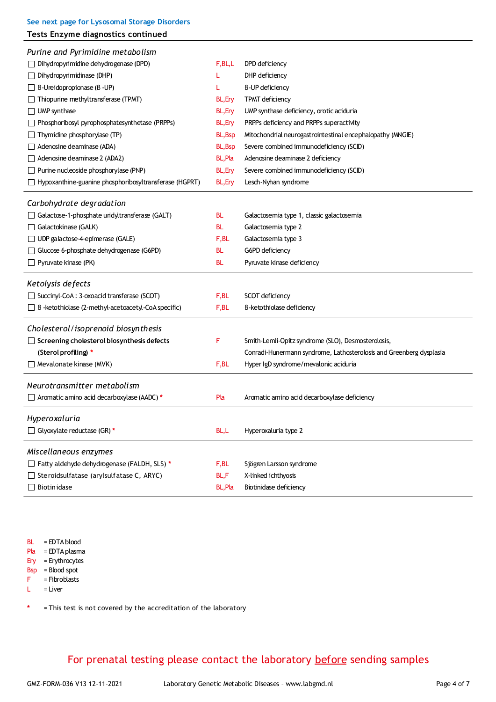| See next page for Lysosomal Storage Disorders<br>Tests Enzyme diagnostics continued |                |                                                                     |
|-------------------------------------------------------------------------------------|----------------|---------------------------------------------------------------------|
| Purine and Pyrimidine metabolism                                                    |                |                                                                     |
| $\Box$ Dihydropyrimidine dehydrogenase (DPD)                                        | F, BL, L       | DPD deficiency                                                      |
| Dihydropyrimidinase (DHP)                                                           |                | DHP deficiency                                                      |
| $\Box$ B-Ureidopropionase (B-UP)                                                    |                | <b>B-UP deficiency</b>                                              |
| $\Box$ Thiopurine methyltransferase (TPMT)                                          | BL, Ery        | TPMT deficiency                                                     |
| $\Box$ UMP synthase                                                                 | <b>BL, Ery</b> | UMP synthase deficiency, orotic aciduria                            |
| Phosphoribosyl pyrophosphatesynthetase (PRPPs)                                      | BL, Ery        | PRPPs deficiency and PRPPs superactivity                            |
| $\Box$ Thymidine phosphorylase (TP)                                                 | <b>BL, Bsp</b> | Mitochondrial neurogastrointestinal encephalopathy (MNGIE)          |
| Adenosine deaminase (ADA)                                                           | <b>BL, Bsp</b> | Severe combined immunodeficiency (SCID)                             |
| Adenosine deaminase 2 (ADA2)                                                        | <b>BL,Pla</b>  | Adenosine deaminase 2 deficiency                                    |
| $\Box$ Purine nucleoside phosphorylase (PNP)                                        | <b>BL, Ery</b> | Severe combined immunodeficiency (SCID)                             |
| $\Box$ Hypoxanthine-guanine phosphoribosyltransferase (HGPRT)                       | <b>BL, Ery</b> | Lesch-Nyhan syndrome                                                |
| Carbohydrate degradation                                                            |                |                                                                     |
| $\Box$ Galactose-1-phosphate undyltransferase (GALT)                                | BL.            | Galactosemia type 1, classic galactosemia                           |
| Galactokinase (GALK)                                                                | BL.            | Galactosemia type 2                                                 |
| $\Box$ UDP galactose-4-epimerase (GALE)                                             | F,BL           | Galactosemia type 3                                                 |
| $\Box$ Glucose 6-phosphate dehydrogenase (G6PD)                                     | BL.            | G6PD deficiency                                                     |
| $\Box$ Pyruvate kinase (PK)                                                         | BL.            | Pyruvate kinase deficiency                                          |
| Ketolysis defects                                                                   |                |                                                                     |
| $\Box$ Succinyl-CoA : 3-oxoacid transferase (SCOT)                                  | F,BL           | SCOT deficiency                                                     |
| $\Box$ B -ketothiolase (2-methyl-acetoacetyl-CoA specific)                          | F,BL           | B-ketothiolase deficiency                                           |
| Cholesterol/isoprenoid biosynthesis                                                 |                |                                                                     |
| $\Box$ Screening cholesterol biosynthesis defects                                   | F              | Smith-Lemli-Opitz syndrome (SLO), Desmosterolosis,                  |
| (Sterol profiling) *                                                                |                | Conradi-Hunermann syndrome, Lathosterolosis and Greenberg dysplasia |
| $\Box$ Mevalonate kinase (MVK)                                                      | F,BL           | Hyper IgD syndrome/mevalonic aciduria                               |
| Neurotransmitter metabolism                                                         |                |                                                                     |
| Aromatic amino acid decarboxylase (AADC) *                                          | Pla            | Aromatic amino acid decarboxylase deficiency                        |
| Hyperoxaluria                                                                       |                |                                                                     |
| $\Box$ Glyoxylate reductase (GR) *                                                  | BL,L           | Hyperoxaluria type 2                                                |
| Miscellaneous enzymes                                                               |                |                                                                     |
| Fatty aldehyde dehydrogenase (FALDH, SLS) *                                         | F, BL          | Sjögren Larsson syndrome                                            |
| $\Box$ Steroidsulfatase (arylsulfatase C, ARYC)                                     | BL,F           | X-linked ichthyosis                                                 |
| $\Box$ Biotinidase                                                                  | <b>BL, Pla</b> | Biotinidase deficiency                                              |
|                                                                                     |                |                                                                     |

BL = EDTA blood

Pla = EDTA plasma

Ery = Erythrocytes Bsp = Blood spot

F = Fibroblasts

 $L = Liver$ 

**\*** = This test is not covered by the accreditation of the laboratory

# For prenatal testing please contact the laboratory before sending samples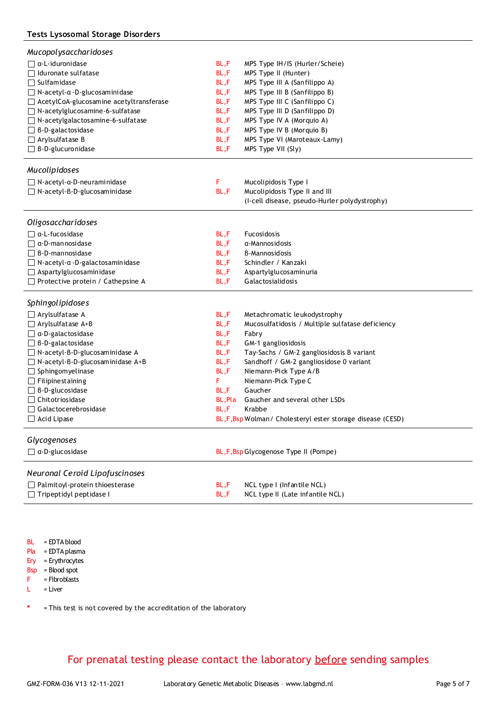### **Tests Lysosomal Storage Disorders**

| <b>Mucopolysaccharidoses</b>                                            |              |                                                                |
|-------------------------------------------------------------------------|--------------|----------------------------------------------------------------|
| $\Box$ a-L-iduronidase                                                  | BL,F         | MPS Type IH/IS (Hurler/Scheie)                                 |
| $\Box$ Iduronate sulfatase                                              | BL,F         | MPS Type II (Hunter)                                           |
| $\Box$ Sulfamidase                                                      | BL,F         | MPS Type III A (Sanfilippo A)                                  |
| $\Box$ N-acetyl- $\alpha$ -D-glucosaminidase                            | BL,F         | MPS Type III B (Sanfilippo B)                                  |
| $\Box$ AcetylCoA-glucosamine acetyltransferase                          | BL,F         | MPS Type III C (Sanfilippo C)                                  |
| $\Box$ N-acetylglucosamine-6-sulfatase                                  | BL,F         | MPS Type III D (Sanfilippo D)                                  |
| $\Box$ N-acetylgalactosamine-6-sulfatase                                | BL,F         | MPS Type IV A (Morquio A)                                      |
| $\Box$ B-D-galactosidase                                                | BL,F         | MPS Type IV B (Morquio B)                                      |
| $\Box$ Arylsulfatase B                                                  | BL,F         | MPS Type VI (Maroteaux-Lamy)                                   |
| $\Box$ B-D-glucuronidase                                                | BL,F         | MPS Type VII (Sly)                                             |
|                                                                         |              |                                                                |
| Mucolipidoses                                                           |              |                                                                |
| $\Box$ N-acetyl- $\alpha$ -D-neuraminidase                              | F            | Mucolipidosis Type I                                           |
| $\Box$ N-acetyl-B-D-glucosaminidase                                     | BL,F         | Mucolipidosis Type II and III                                  |
|                                                                         |              | (I-cell disease, pseudo-Hurler polydystrophy)                  |
|                                                                         |              |                                                                |
| Oligosaccharidoses                                                      |              |                                                                |
| $\Box$ $\alpha$ -L-fucosidase                                           | BL,F         | Fucosidosis                                                    |
| $\Box$ $\alpha$ -D-mannosidase                                          | BL,F         | α-Mannosidosis                                                 |
| $\Box$ B-D-mannosidase                                                  | BL,F         | B-Mannosidosis                                                 |
| $\Box$ N-acetyl- $\alpha$ -D-galactosaminidase                          | BL,F         | Schindler / Kanzaki                                            |
| Aspartylglucosaminidase                                                 | BL,F         | Aspartylglucosaminuria                                         |
| $\Box$ Protective protein / Cathepsine A                                | BL,F         | Galactosialidosis                                              |
| Sphingolipidoses                                                        |              |                                                                |
|                                                                         |              |                                                                |
| $\Box$ Arylsulfatase A                                                  | BL,F         | Metachromatic leukodystrophy                                   |
| $\Box$ Arylsulfatase A+B                                                | BL,F         | Mucosulfatidosis / Multiple sulfatase deficiency               |
| $\Box$ $\alpha$ -D-galactosidase                                        | BL,F         | Fabry                                                          |
| $\Box$ B-D-galactosidase                                                | BL,F         | GM-1 gangliosidosis                                            |
| $\Box$ N-acetyl-B-D-glucosaminidase A                                   | BL,F         | Tay-Sachs / GM-2 gangliosidosis B variant                      |
| $\Box$ N-acetyl-B-D-glucosaminidase A+B                                 | BL,F         | Sandhoff / GM-2 gangliosidose 0 variant                        |
| $\Box$ Sphingomyelinase                                                 | BL,F         | Niemann-Pick Type A/B                                          |
| $\Box$ Filipine staining                                                | F            | Niemann-Pick Type C                                            |
| $\Box$ B-D-glucosidase                                                  | BL,F         | Gaucher                                                        |
| $\Box$ Chitotriosidase                                                  | BL,Pla       | Gaucher and several other LSDs                                 |
| Galactocerebrosidase                                                    | BL,F         | Krabbe                                                         |
| Acid Lipase                                                             |              | BL, F, Bsp Wolman / Cholesteryl ester storage disease (CESD)   |
| Glycogenoses                                                            |              |                                                                |
| $\Box$ a-D-glucosidase                                                  |              | BL, F, Bsp Glycogenose Type II (Pompe)                         |
|                                                                         |              |                                                                |
| Neuronal Ceroid Lipofuscinoses                                          |              |                                                                |
|                                                                         |              |                                                                |
|                                                                         |              |                                                                |
| $\Box$ Palmitoyl-protein thioesterase<br>$\Box$ Tripeptidyl peptidase I | BL,F<br>BL,F | NCL type I (Infantile NCL)<br>NCL type II (Late infantile NCL) |

BL = EDTA blood

Pla = EDTA plasma

Ery = Erythrocytes

Bsp = Blood spot F = Fibroblasts

 $L = Liver$ 

**\*** = This test is not covered by the accreditation of the laboratory

For prenatal testing please contact the laboratory before sending samples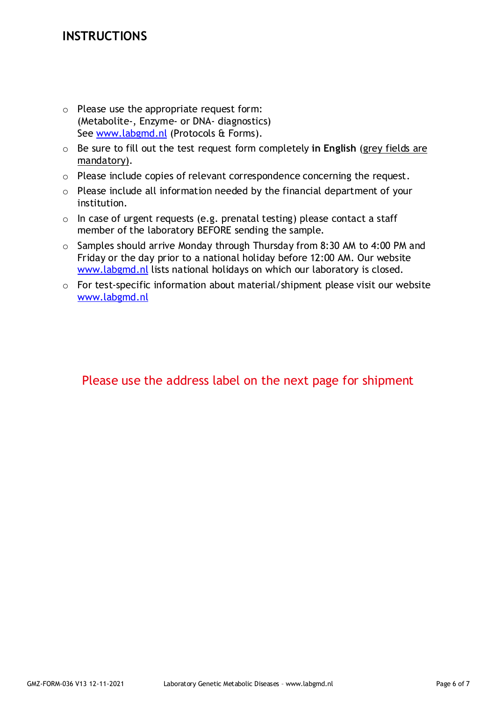# **INSTRUCTIONS**

- o Please use the appropriate request form: (Metabolite-, Enzyme- or DNA- diagnostics) See www.labgmd.nl (Protocols & Forms).
- o Be sure to fill out the test request form completely **in English** (grey fields are mandatory).
- o Please include copies of relevant correspondence concerning the request.
- o Please include all information needed by the financial department of your institution.
- $\circ$  In case of urgent requests (e.g. prenatal testing) please contact a staff member of the laboratory BEFORE sending the sample.
- o Samples should arrive Monday through Thursday from 8:30 AM to 4:00 PM and Friday or the day prior to a national holiday before 12:00 AM. Our website www.labgmd.nl lists national holidays on which our laboratory is closed.
- o For test-specific information about material/shipment please visit our website www.labgmd.nl

# Please use the address label on the next page for shipment